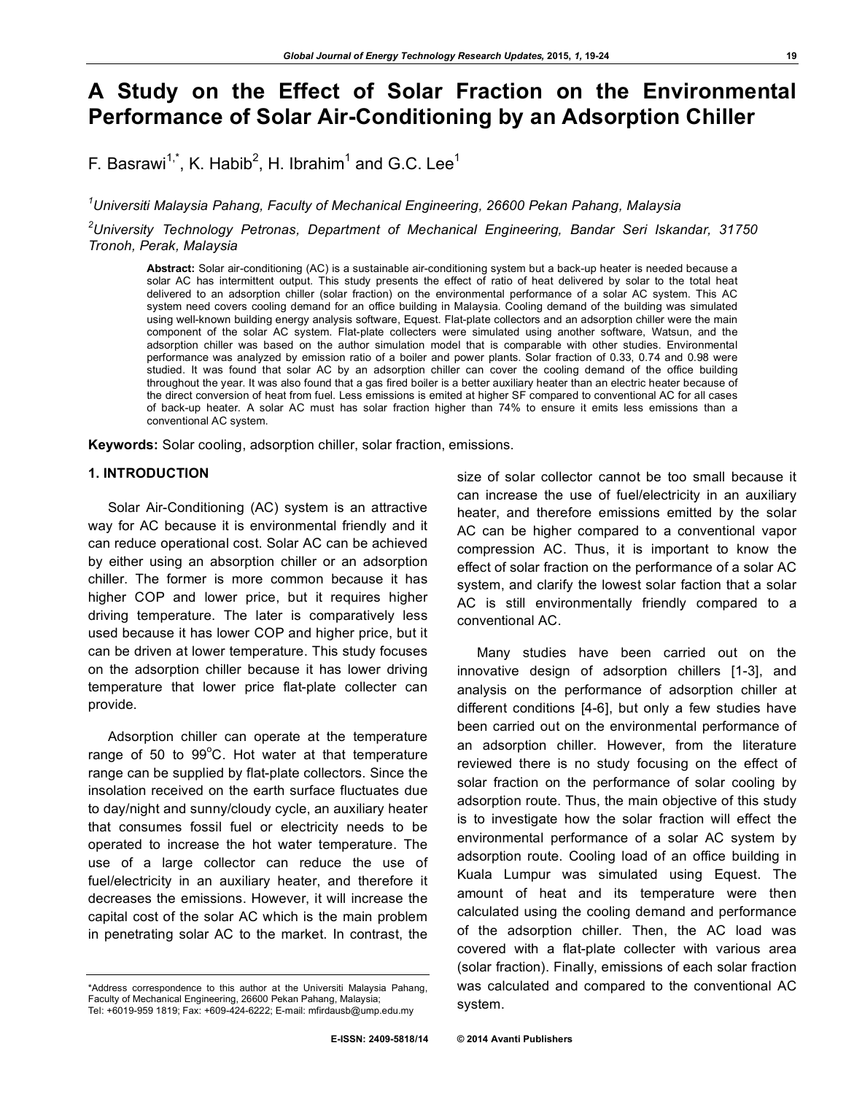# **A Study on the Effect of Solar Fraction on the Environmental Performance of Solar Air-Conditioning by an Adsorption Chiller**

F. Basrawi<sup>1,\*</sup>, K. Habib<sup>2</sup>, H. Ibrahim<sup>1</sup> and G.C. Lee<sup>1</sup>

*1 Universiti Malaysia Pahang, Faculty of Mechanical Engineering, 26600 Pekan Pahang, Malaysia*

*2 University Technology Petronas, Department of Mechanical Engineering, Bandar Seri Iskandar, 31750 Tronoh, Perak, Malaysia*

**Abstract:** Solar air-conditioning (AC) is a sustainable air-conditioning system but a back-up heater is needed because a solar AC has intermittent output. This study presents the effect of ratio of heat delivered by solar to the total heat delivered to an adsorption chiller (solar fraction) on the environmental performance of a solar AC system. This AC system need covers cooling demand for an office building in Malaysia. Cooling demand of the building was simulated using well-known building energy analysis software, Equest. Flat-plate collectors and an adsorption chiller were the main component of the solar AC system. Flat-plate collecters were simulated using another software, Watsun, and the adsorption chiller was based on the author simulation model that is comparable with other studies. Environmental performance was analyzed by emission ratio of a boiler and power plants. Solar fraction of 0.33, 0.74 and 0.98 were studied. It was found that solar AC by an adsorption chiller can cover the cooling demand of the office building throughout the year. It was also found that a gas fired boiler is a better auxiliary heater than an electric heater because of the direct conversion of heat from fuel. Less emissions is emited at higher SF compared to conventional AC for all cases of back-up heater. A solar AC must has solar fraction higher than 74% to ensure it emits less emissions than a conventional AC system.

**Keywords:** Solar cooling, adsorption chiller, solar fraction, emissions.

## **1. INTRODUCTION**

Solar Air-Conditioning (AC) system is an attractive way for AC because it is environmental friendly and it can reduce operational cost. Solar AC can be achieved by either using an absorption chiller or an adsorption chiller. The former is more common because it has higher COP and lower price, but it requires higher driving temperature. The later is comparatively less used because it has lower COP and higher price, but it can be driven at lower temperature. This study focuses on the adsorption chiller because it has lower driving temperature that lower price flat-plate collecter can provide.

Adsorption chiller can operate at the temperature range of 50 to  $99^{\circ}$ C. Hot water at that temperature range can be supplied by flat-plate collectors. Since the insolation received on the earth surface fluctuates due to day/night and sunny/cloudy cycle, an auxiliary heater that consumes fossil fuel or electricity needs to be operated to increase the hot water temperature. The use of a large collector can reduce the use of fuel/electricity in an auxiliary heater, and therefore it decreases the emissions. However, it will increase the capital cost of the solar AC which is the main problem in penetrating solar AC to the market. In contrast, the

size of solar collector cannot be too small because it can increase the use of fuel/electricity in an auxiliary heater, and therefore emissions emitted by the solar AC can be higher compared to a conventional vapor compression AC. Thus, it is important to know the effect of solar fraction on the performance of a solar AC system, and clarify the lowest solar faction that a solar AC is still environmentally friendly compared to a conventional AC.

Many studies have been carried out on the innovative design of adsorption chillers [1-3], and analysis on the performance of adsorption chiller at different conditions [4-6], but only a few studies have been carried out on the environmental performance of an adsorption chiller. However, from the literature reviewed there is no study focusing on the effect of solar fraction on the performance of solar cooling by adsorption route. Thus, the main objective of this study is to investigate how the solar fraction will effect the environmental performance of a solar AC system by adsorption route. Cooling load of an office building in Kuala Lumpur was simulated using Equest. The amount of heat and its temperature were then calculated using the cooling demand and performance of the adsorption chiller. Then, the AC load was covered with a flat-plate collecter with various area (solar fraction). Finally, emissions of each solar fraction was calculated and compared to the conventional AC system.

<sup>\*</sup>Address correspondence to this author at the Universiti Malaysia Pahang, Faculty of Mechanical Engineering, 26600 Pekan Pahang, Malaysia; Tel: +6019-959 1819; Fax: +609-424-6222; E-mail: mfirdausb@ump.edu.my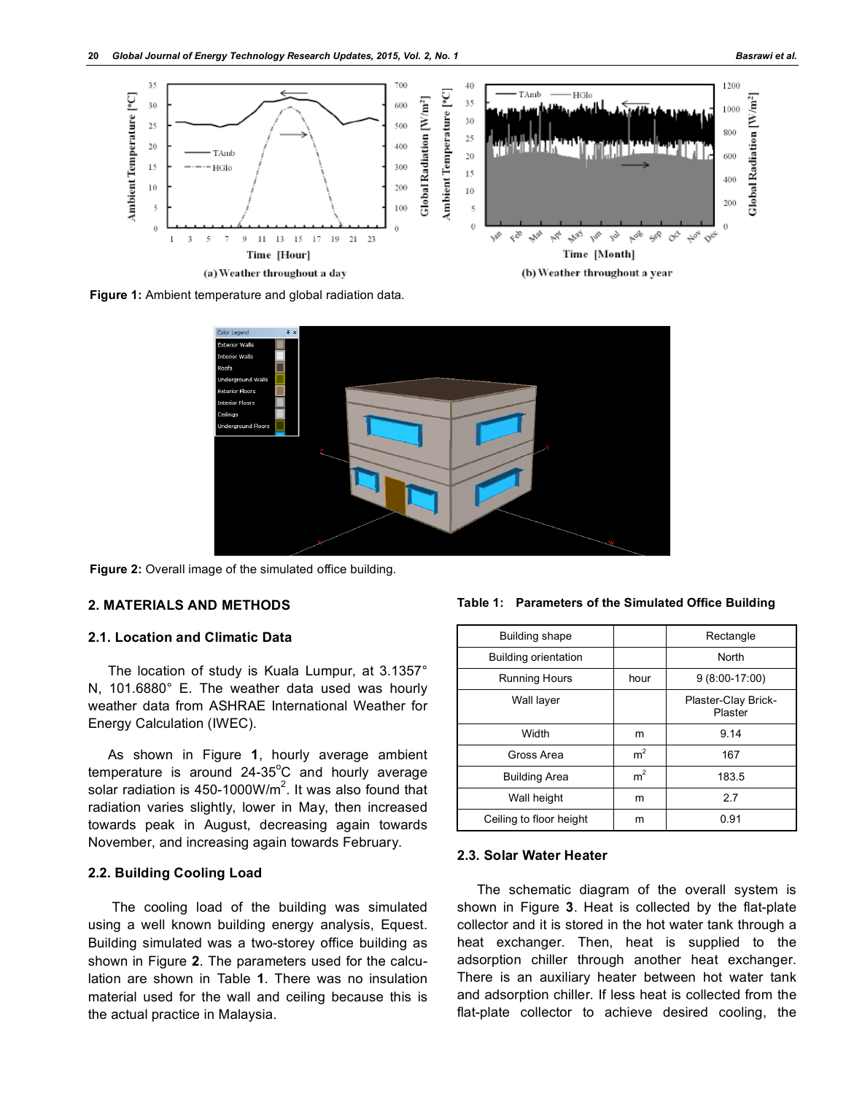

**Figure 1:** Ambient temperature and global radiation data.



**Figure 2:** Overall image of the simulated office building.

## **2. MATERIALS AND METHODS**

## **2.1. Location and Climatic Data**

The location of study is Kuala Lumpur, at 3.1357° N, 101.6880° E. The weather data used was hourly weather data from ASHRAE International Weather for Energy Calculation (IWEC).

As shown in Figure **1**, hourly average ambient temperature is around  $24-35^{\circ}$ C and hourly average solar radiation is 450-1000W/m<sup>2</sup>. It was also found that radiation varies slightly, lower in May, then increased towards peak in August, decreasing again towards November, and increasing again towards February.

## **2.2. Building Cooling Load**

The cooling load of the building was simulated using a well known building energy analysis, Equest. Building simulated was a two-storey office building as shown in Figure **2**. The parameters used for the calculation are shown in Table **1**. There was no insulation material used for the wall and ceiling because this is the actual practice in Malaysia.

**Table 1: Parameters of the Simulated Office Building**

| Building shape          |                | Rectangle                      |
|-------------------------|----------------|--------------------------------|
| Building orientation    |                | North                          |
| <b>Running Hours</b>    | hour           | $9(8:00-17:00)$                |
| Wall layer              |                | Plaster-Clay Brick-<br>Plaster |
| Width                   | m              | 9.14                           |
| Gross Area              | m <sup>2</sup> | 167                            |
| <b>Building Area</b>    | m <sup>2</sup> | 183.5                          |
| Wall height             | m              | 2.7                            |
| Ceiling to floor height | m              | 0.91                           |

#### **2.3. Solar Water Heater**

The schematic diagram of the overall system is shown in Figure **3**. Heat is collected by the flat-plate collector and it is stored in the hot water tank through a heat exchanger. Then, heat is supplied to the adsorption chiller through another heat exchanger. There is an auxiliary heater between hot water tank and adsorption chiller. If less heat is collected from the flat-plate collector to achieve desired cooling, the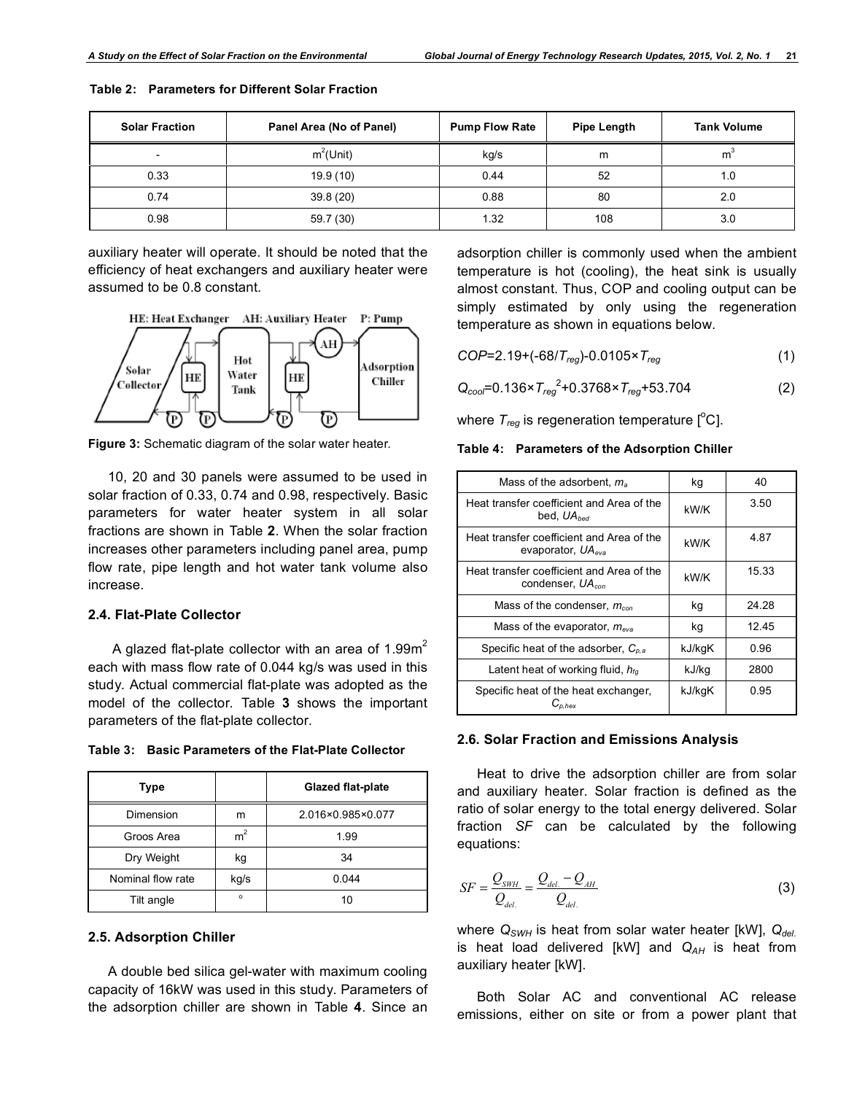| <b>Solar Fraction</b>    | Panel Area (No of Panel) | <b>Pump Flow Rate</b> | Pipe Length | <b>Tank Volume</b> |
|--------------------------|--------------------------|-----------------------|-------------|--------------------|
| $\overline{\phantom{0}}$ | $m^2$ (Unit)             | kg/s                  | m           | m                  |
| 0.33                     | 19.9(10)                 | 0.44                  | 52          | 1.0                |
| 0.74                     | 39.8(20)                 | 0.88                  | 80          | 2.0                |
| 0.98                     | 59.7 (30)                | 1.32                  | 108         | 3.0                |

**Table 2: Parameters for Different Solar Fraction**

auxiliary heater will operate. It should be noted that the efficiency of heat exchangers and auxiliary heater were assumed to be 0.8 constant.





**Figure 3:** Schematic diagram of the solar water heater.

10, 20 and 30 panels were assumed to be used in solar fraction of 0.33, 0.74 and 0.98, respectively. Basic parameters for water heater system in all solar fractions are shown in Table **2**. When the solar fraction increases other parameters including panel area, pump flow rate, pipe length and hot water tank volume also increase.

## **2.4. Flat-Plate Collector**

A glazed flat-plate collector with an area of  $1.99<sup>2</sup>$ each with mass flow rate of 0.044 kg/s was used in this study. Actual commercial flat-plate was adopted as the model of the collector. Table **3** shows the important parameters of the flat-plate collector.

**Table 3: Basic Parameters of the Flat-Plate Collector**

| Type              |                | <b>Glazed flat-plate</b> |
|-------------------|----------------|--------------------------|
| Dimension         | m              | 2.016×0.985×0.077        |
| Groos Area        | m <sup>2</sup> | 1.99                     |
| Dry Weight        | kg             | 34                       |
| Nominal flow rate | kg/s           | 0.044                    |
| Tilt angle        | $\circ$        | 10                       |

#### **2.5. Adsorption Chiller**

A double bed silica gel-water with maximum cooling capacity of 16kW was used in this study. Parameters of the adsorption chiller are shown in Table **4**. Since an

adsorption chiller is commonly used when the ambient temperature is hot (cooling), the heat sink is usually almost constant. Thus, COP and cooling output can be simply estimated by only using the regeneration temperature as shown in equations below.

$$
COP = 2.19 + (-68/T_{reg}) - 0.0105 \times T_{reg}
$$
 (1)

*Qcool*=0.136×*Treg* 2 +0.3768×*Treg*+53.704 (2)

where  $T_{reg}$  is regeneration temperature  $[^{\circ} \text{C}].$ 

## **Table 4: Parameters of the Adsorption Chiller**

| Mass of the adsorbent, $m_a$                                              | kg     | 40    |
|---------------------------------------------------------------------------|--------|-------|
| Heat transfer coefficient and Area of the<br>bed, $UA_{bed}$              | kW/K   | 3.50  |
| Heat transfer coefficient and Area of the<br>evaporator, $UA_{eva}$       | kW/K   | 4.87  |
| Heat transfer coefficient and Area of the<br>condenser. UA <sub>con</sub> | kW/K   | 15.33 |
| Mass of the condenser, $m_{con}$                                          | kg     | 24.28 |
| Mass of the evaporator, $m_{eva}$                                         | kg     | 12.45 |
| Specific heat of the adsorber, $C_{n,a}$                                  | kJ/kgK | 0.96  |
| Latent heat of working fluid, $h_{fa}$                                    | kJ/kq  | 2800  |
| Specific heat of the heat exchanger,<br>$C_{p,hex}$                       | kJ/kgK | 0.95  |

#### **2.6. Solar Fraction and Emissions Analysis**

Heat to drive the adsorption chiller are from solar and auxiliary heater. Solar fraction is defined as the ratio of solar energy to the total energy delivered. Solar fraction *SF* can be calculated by the following equations:

$$
SF = \frac{Q_{SWH}}{Q_{del.}} = \frac{Q_{del.} - Q_{AH}}{Q_{del.}}
$$
(3)

where  $Q_{SWH}$  is heat from solar water heater [kW],  $Q_{del}$ . is heat load delivered [kW] and Q<sub>AH</sub> is heat from auxiliary heater [kW].

Both Solar AC and conventional AC release emissions, either on site or from a power plant that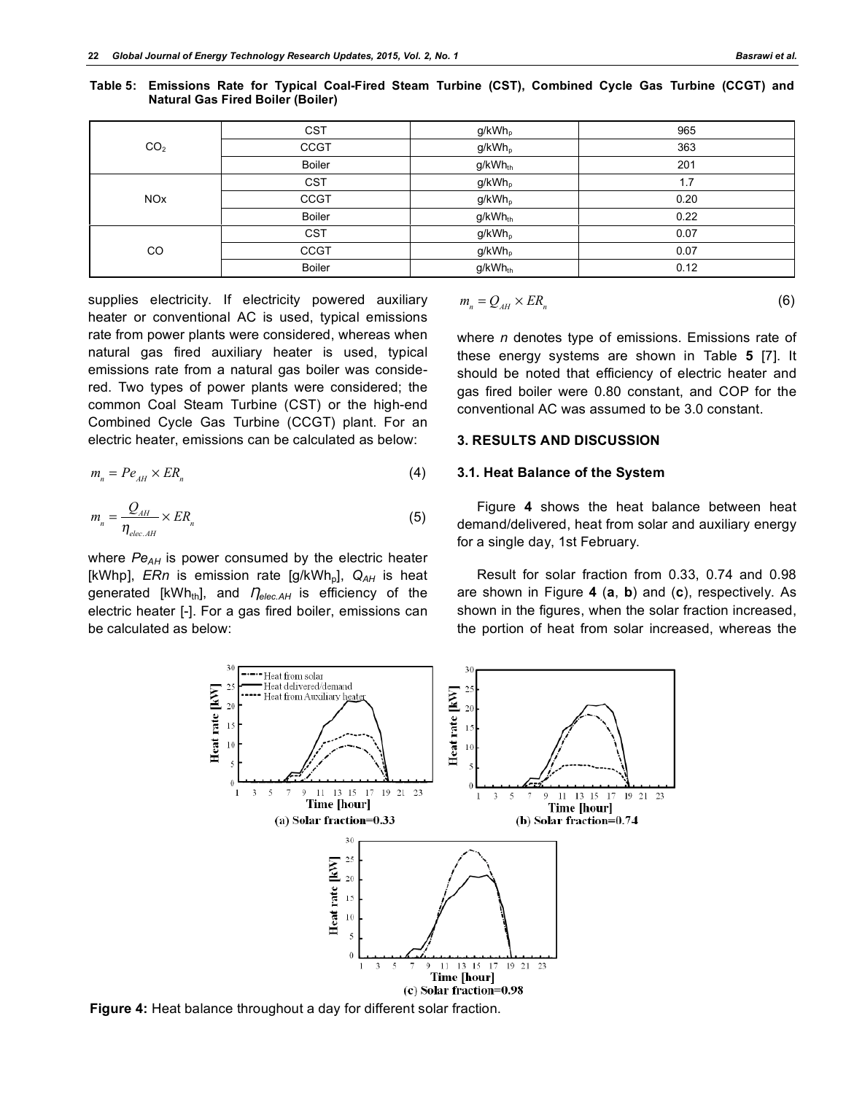| CO <sub>2</sub>       | <b>CST</b>    | $g/kWh_p$           | 965  |
|-----------------------|---------------|---------------------|------|
|                       | <b>CCGT</b>   | g/kWh <sub>p</sub>  | 363  |
|                       | <b>Boiler</b> | g/kWh <sub>th</sub> | 201  |
| <b>NO<sub>x</sub></b> | <b>CST</b>    | g/kWh <sub>p</sub>  | 1.7  |
|                       | <b>CCGT</b>   | g/kWh <sub>p</sub>  | 0.20 |
|                       | <b>Boiler</b> | g/kWh <sub>th</sub> | 0.22 |
| CO                    | <b>CST</b>    | g/kWh <sub>p</sub>  | 0.07 |
|                       | <b>CCGT</b>   | g/kWh <sub>p</sub>  | 0.07 |
|                       | <b>Boiler</b> | g/kWh <sub>th</sub> | 0.12 |

**Table 5: Emissions Rate for Typical Coal-Fired Steam Turbine (CST), Combined Cycle Gas Turbine (CCGT) and Natural Gas Fired Boiler (Boiler)**

supplies electricity. If electricity powered auxiliary heater or conventional AC is used, typical emissions rate from power plants were considered, whereas when natural gas fired auxiliary heater is used, typical emissions rate from a natural gas boiler was considered. Two types of power plants were considered; the common Coal Steam Turbine (CST) or the high-end Combined Cycle Gas Turbine (CCGT) plant. For an electric heater, emissions can be calculated as below:

$$
m_n = Pe_{AH} \times ER_n \tag{4}
$$

$$
m_n = \frac{Q_{AH}}{\eta_{elec.AH}} \times ER_n
$$
\n(5)

where *Pe<sub>AH</sub>* is power consumed by the electric heater [kWhp], *ERn* is emission rate [g/kWh<sub>p</sub>], Q<sub>AH</sub> is heat generated [kWh<sub>th</sub>], and  $\eta_{elec, AH}$  is efficiency of the electric heater [-]. For a gas fired boiler, emissions can be calculated as below:

$$
m_n = Q_{AH} \times ER_n \tag{6}
$$

where *n* denotes type of emissions. Emissions rate of these energy systems are shown in Table **5** [7]. It should be noted that efficiency of electric heater and gas fired boiler were 0.80 constant, and COP for the conventional AC was assumed to be 3.0 constant.

#### **3. RESULTS AND DISCUSSION**

## **3.1. Heat Balance of the System**

Figure **4** shows the heat balance between heat demand/delivered, heat from solar and auxiliary energy for a single day, 1st February.

Result for solar fraction from 0.33, 0.74 and 0.98 are shown in Figure **4** (**a**, **b**) and (**c**), respectively. As shown in the figures, when the solar fraction increased, the portion of heat from solar increased, whereas the



**Figure 4:** Heat balance throughout a day for different solar fraction.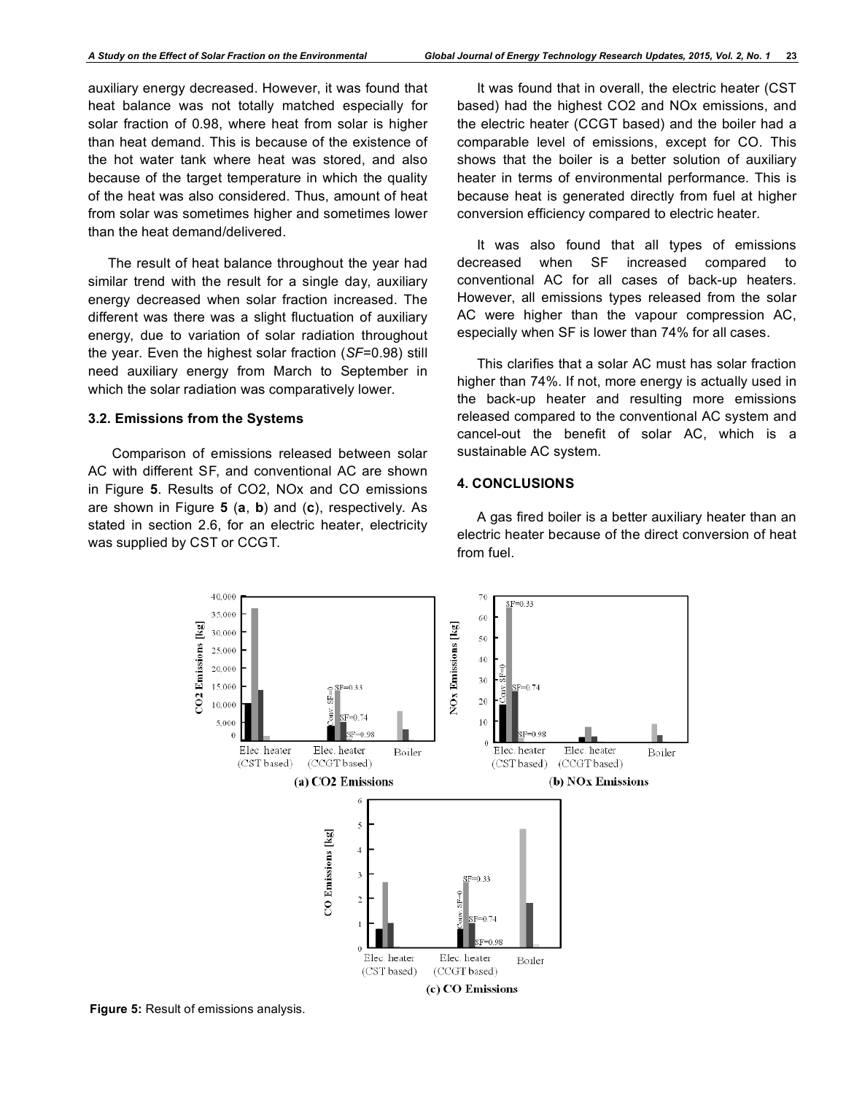auxiliary energy decreased. However, it was found that heat balance was not totally matched especially for solar fraction of 0.98, where heat from solar is higher than heat demand. This is because of the existence of the hot water tank where heat was stored, and also because of the target temperature in which the quality of the heat was also considered. Thus, amount of heat from solar was sometimes higher and sometimes lower than the heat demand/delivered.

The result of heat balance throughout the year had similar trend with the result for a single day, auxiliary energy decreased when solar fraction increased. The different was there was a slight fluctuation of auxiliary energy, due to variation of solar radiation throughout the year. Even the highest solar fraction (*SF*=0.98) still need auxiliary energy from March to September in which the solar radiation was comparatively lower.

#### **3.2. Emissions from the Systems**

 Comparison of emissions released between solar AC with different SF, and conventional AC are shown in Figure **5**. Results of CO2, NOx and CO emissions are shown in Figure **5** (**a**, **b**) and (**c**), respectively. As stated in section 2.6, for an electric heater, electricity was supplied by CST or CCGT.

It was found that in overall, the electric heater (CST based) had the highest CO2 and NOx emissions, and the electric heater (CCGT based) and the boiler had a comparable level of emissions, except for CO. This shows that the boiler is a better solution of auxiliary heater in terms of environmental performance. This is because heat is generated directly from fuel at higher conversion efficiency compared to electric heater.

It was also found that all types of emissions decreased when SF increased compared to conventional AC for all cases of back-up heaters. However, all emissions types released from the solar AC were higher than the vapour compression AC, especially when SF is lower than 74% for all cases.

This clarifies that a solar AC must has solar fraction higher than 74%. If not, more energy is actually used in the back-up heater and resulting more emissions released compared to the conventional AC system and cancel-out the benefit of solar AC, which is a sustainable AC system.

## **4. CONCLUSIONS**

A gas fired boiler is a better auxiliary heater than an electric heater because of the direct conversion of heat from fuel.



**Figure 5:** Result of emissions analysis.